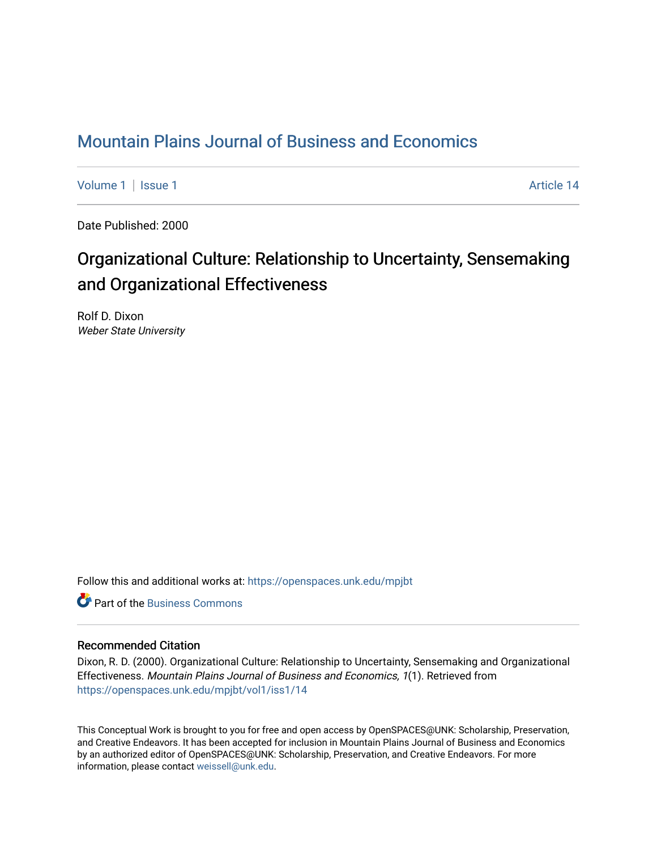# [Mountain Plains Journal of Business and Economics](https://openspaces.unk.edu/mpjbt)

[Volume 1](https://openspaces.unk.edu/mpjbt/vol1) | [Issue 1](https://openspaces.unk.edu/mpjbt/vol1/iss1) Article 14

Date Published: 2000

# Organizational Culture: Relationship to Uncertainty, Sensemaking and Organizational Effectiveness

Rolf D. Dixon Weber State University

Follow this and additional works at: [https://openspaces.unk.edu/mpjbt](https://openspaces.unk.edu/mpjbt?utm_source=openspaces.unk.edu%2Fmpjbt%2Fvol1%2Fiss1%2F14&utm_medium=PDF&utm_campaign=PDFCoverPages) 

**C** Part of the [Business Commons](http://network.bepress.com/hgg/discipline/622?utm_source=openspaces.unk.edu%2Fmpjbt%2Fvol1%2Fiss1%2F14&utm_medium=PDF&utm_campaign=PDFCoverPages)

#### Recommended Citation

Dixon, R. D. (2000). Organizational Culture: Relationship to Uncertainty, Sensemaking and Organizational Effectiveness. Mountain Plains Journal of Business and Economics, 1(1). Retrieved from [https://openspaces.unk.edu/mpjbt/vol1/iss1/14](https://openspaces.unk.edu/mpjbt/vol1/iss1/14?utm_source=openspaces.unk.edu%2Fmpjbt%2Fvol1%2Fiss1%2F14&utm_medium=PDF&utm_campaign=PDFCoverPages)

This Conceptual Work is brought to you for free and open access by OpenSPACES@UNK: Scholarship, Preservation, and Creative Endeavors. It has been accepted for inclusion in Mountain Plains Journal of Business and Economics by an authorized editor of OpenSPACES@UNK: Scholarship, Preservation, and Creative Endeavors. For more information, please contact [weissell@unk.edu](mailto:weissell@unk.edu).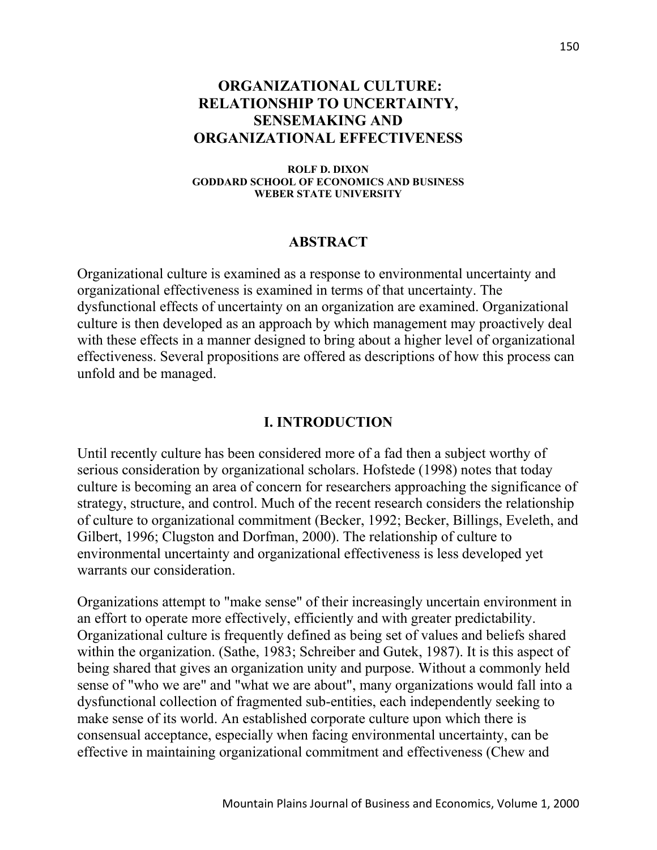### **ORGANIZATIONAL CULTURE: RELATIONSHIP TO UNCERTAINTY, SENSEMAKING AND ORGANIZATIONAL EFFECTIVENESS**

**ROLF D. DIXON GODDARD SCHOOL OF ECONOMICS AND BUSINESS WEBER STATE UNIVERSITY**

#### **ABSTRACT**

Organizational culture is examined as a response to environmental uncertainty and organizational effectiveness is examined in terms of that uncertainty. The dysfunctional effects of uncertainty on an organization are examined. Organizational culture is then developed as an approach by which management may proactively deal with these effects in a manner designed to bring about a higher level of organizational effectiveness. Several propositions are offered as descriptions of how this process can unfold and be managed.

#### **I. INTRODUCTION**

Until recently culture has been considered more of a fad then a subject worthy of serious consideration by organizational scholars. Hofstede (1998) notes that today culture is becoming an area of concern for researchers approaching the significance of strategy, structure, and control. Much of the recent research considers the relationship of culture to organizational commitment (Becker, 1992; Becker, Billings, Eveleth, and Gilbert, 1996; Clugston and Dorfman, 2000). The relationship of culture to environmental uncertainty and organizational effectiveness is less developed yet warrants our consideration.

Organizations attempt to "make sense" of their increasingly uncertain environment in an effort to operate more effectively, efficiently and with greater predictability. Organizational culture is frequently defined as being set of values and beliefs shared within the organization. (Sathe, 1983; Schreiber and Gutek, 1987). It is this aspect of being shared that gives an organization unity and purpose. Without a commonly held sense of "who we are" and "what we are about", many organizations would fall into a dysfunctional collection of fragmented sub-entities, each independently seeking to make sense of its world. An established corporate culture upon which there is consensual acceptance, especially when facing environmental uncertainty, can be effective in maintaining organizational commitment and effectiveness (Chew and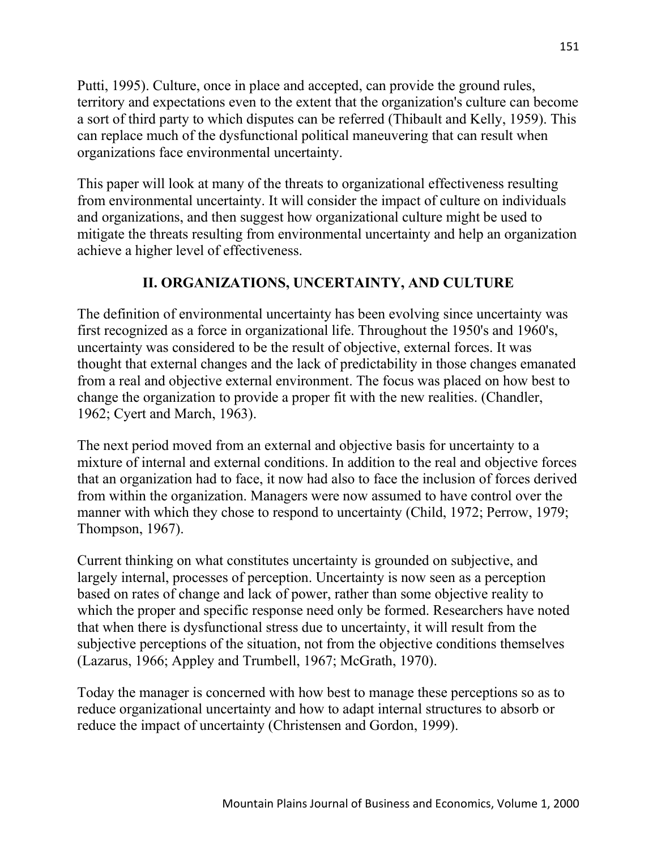Putti, 1995). Culture, once in place and accepted, can provide the ground rules, territory and expectations even to the extent that the organization's culture can become a sort of third party to which disputes can be referred (Thibault and Kelly, 1959). This can replace much of the dysfunctional political maneuvering that can result when organizations face environmental uncertainty.

This paper will look at many of the threats to organizational effectiveness resulting from environmental uncertainty. It will consider the impact of culture on individuals and organizations, and then suggest how organizational culture might be used to mitigate the threats resulting from environmental uncertainty and help an organization achieve a higher level of effectiveness.

### **II. ORGANIZATIONS, UNCERTAINTY, AND CULTURE**

The definition of environmental uncertainty has been evolving since uncertainty was first recognized as a force in organizational life. Throughout the 1950's and 1960's, uncertainty was considered to be the result of objective, external forces. It was thought that external changes and the lack of predictability in those changes emanated from a real and objective external environment. The focus was placed on how best to change the organization to provide a proper fit with the new realities. (Chandler, 1962; Cyert and March, 1963).

The next period moved from an external and objective basis for uncertainty to a mixture of internal and external conditions. In addition to the real and objective forces that an organization had to face, it now had also to face the inclusion of forces derived from within the organization. Managers were now assumed to have control over the manner with which they chose to respond to uncertainty (Child, 1972; Perrow, 1979; Thompson, 1967).

Current thinking on what constitutes uncertainty is grounded on subjective, and largely internal, processes of perception. Uncertainty is now seen as a perception based on rates of change and lack of power, rather than some objective reality to which the proper and specific response need only be formed. Researchers have noted that when there is dysfunctional stress due to uncertainty, it will result from the subjective perceptions of the situation, not from the objective conditions themselves (Lazarus, 1966; Appley and Trumbell, 1967; McGrath, 1970).

Today the manager is concerned with how best to manage these perceptions so as to reduce organizational uncertainty and how to adapt internal structures to absorb or reduce the impact of uncertainty (Christensen and Gordon, 1999).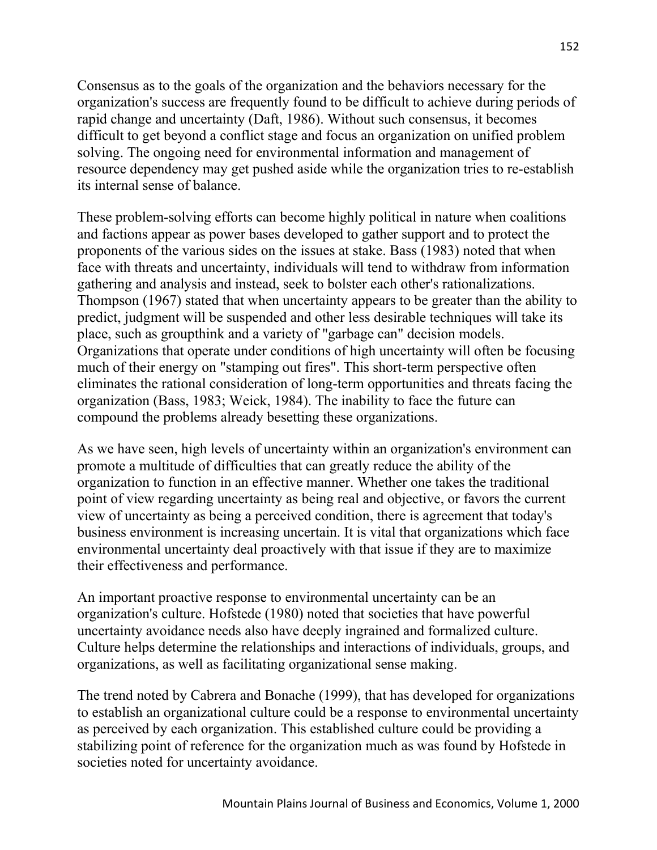Consensus as to the goals of the organization and the behaviors necessary for the organization's success are frequently found to be difficult to achieve during periods of rapid change and uncertainty (Daft, 1986). Without such consensus, it becomes difficult to get beyond a conflict stage and focus an organization on unified problem solving. The ongoing need for environmental information and management of resource dependency may get pushed aside while the organization tries to re-establish its internal sense of balance.

These problem-solving efforts can become highly political in nature when coalitions and factions appear as power bases developed to gather support and to protect the proponents of the various sides on the issues at stake. Bass (1983) noted that when face with threats and uncertainty, individuals will tend to withdraw from information gathering and analysis and instead, seek to bolster each other's rationalizations. Thompson (1967) stated that when uncertainty appears to be greater than the ability to predict, judgment will be suspended and other less desirable techniques will take its place, such as groupthink and a variety of "garbage can" decision models. Organizations that operate under conditions of high uncertainty will often be focusing much of their energy on "stamping out fires". This short-term perspective often eliminates the rational consideration of long-term opportunities and threats facing the organization (Bass, 1983; Weick, 1984). The inability to face the future can compound the problems already besetting these organizations.

As we have seen, high levels of uncertainty within an organization's environment can promote a multitude of difficulties that can greatly reduce the ability of the organization to function in an effective manner. Whether one takes the traditional point of view regarding uncertainty as being real and objective, or favors the current view of uncertainty as being a perceived condition, there is agreement that today's business environment is increasing uncertain. It is vital that organizations which face environmental uncertainty deal proactively with that issue if they are to maximize their effectiveness and performance.

An important proactive response to environmental uncertainty can be an organization's culture. Hofstede (1980) noted that societies that have powerful uncertainty avoidance needs also have deeply ingrained and formalized culture. Culture helps determine the relationships and interactions of individuals, groups, and organizations, as well as facilitating organizational sense making.

The trend noted by Cabrera and Bonache (1999), that has developed for organizations to establish an organizational culture could be a response to environmental uncertainty as perceived by each organization. This established culture could be providing a stabilizing point of reference for the organization much as was found by Hofstede in societies noted for uncertainty avoidance.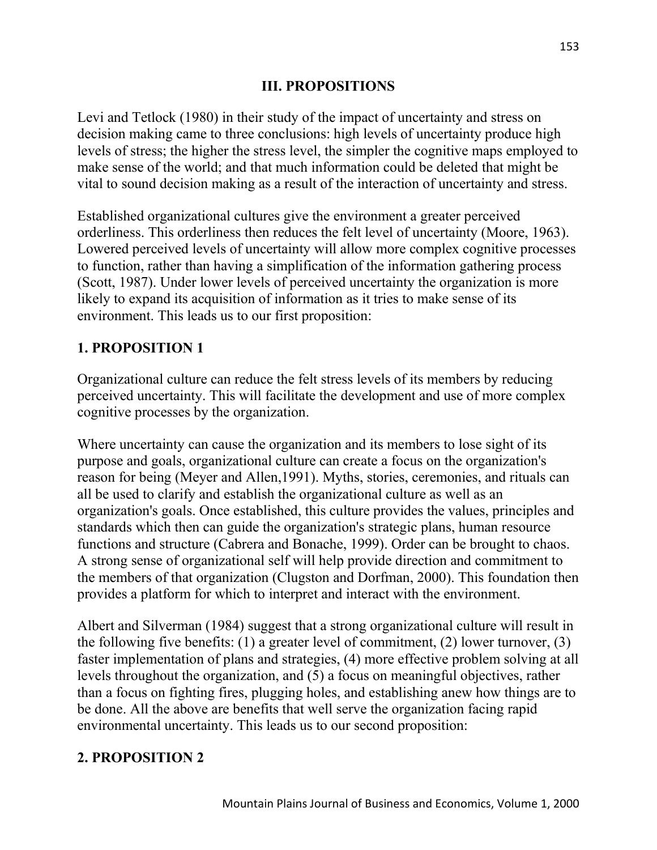#### **III. PROPOSITIONS**

Levi and Tetlock (1980) in their study of the impact of uncertainty and stress on decision making came to three conclusions: high levels of uncertainty produce high levels of stress; the higher the stress level, the simpler the cognitive maps employed to make sense of the world; and that much information could be deleted that might be vital to sound decision making as a result of the interaction of uncertainty and stress.

Established organizational cultures give the environment a greater perceived orderliness. This orderliness then reduces the felt level of uncertainty (Moore, 1963). Lowered perceived levels of uncertainty will allow more complex cognitive processes to function, rather than having a simplification of the information gathering process (Scott, 1987). Under lower levels of perceived uncertainty the organization is more likely to expand its acquisition of information as it tries to make sense of its environment. This leads us to our first proposition:

### **1. PROPOSITION 1**

Organizational culture can reduce the felt stress levels of its members by reducing perceived uncertainty. This will facilitate the development and use of more complex cognitive processes by the organization.

Where uncertainty can cause the organization and its members to lose sight of its purpose and goals, organizational culture can create a focus on the organization's reason for being (Meyer and Allen,1991). Myths, stories, ceremonies, and rituals can all be used to clarify and establish the organizational culture as well as an organization's goals. Once established, this culture provides the values, principles and standards which then can guide the organization's strategic plans, human resource functions and structure (Cabrera and Bonache, 1999). Order can be brought to chaos. A strong sense of organizational self will help provide direction and commitment to the members of that organization (Clugston and Dorfman, 2000). This foundation then provides a platform for which to interpret and interact with the environment.

Albert and Silverman (1984) suggest that a strong organizational culture will result in the following five benefits: (1) a greater level of commitment, (2) lower turnover, (3) faster implementation of plans and strategies, (4) more effective problem solving at all levels throughout the organization, and (5) a focus on meaningful objectives, rather than a focus on fighting fires, plugging holes, and establishing anew how things are to be done. All the above are benefits that well serve the organization facing rapid environmental uncertainty. This leads us to our second proposition:

#### **2. PROPOSITION 2**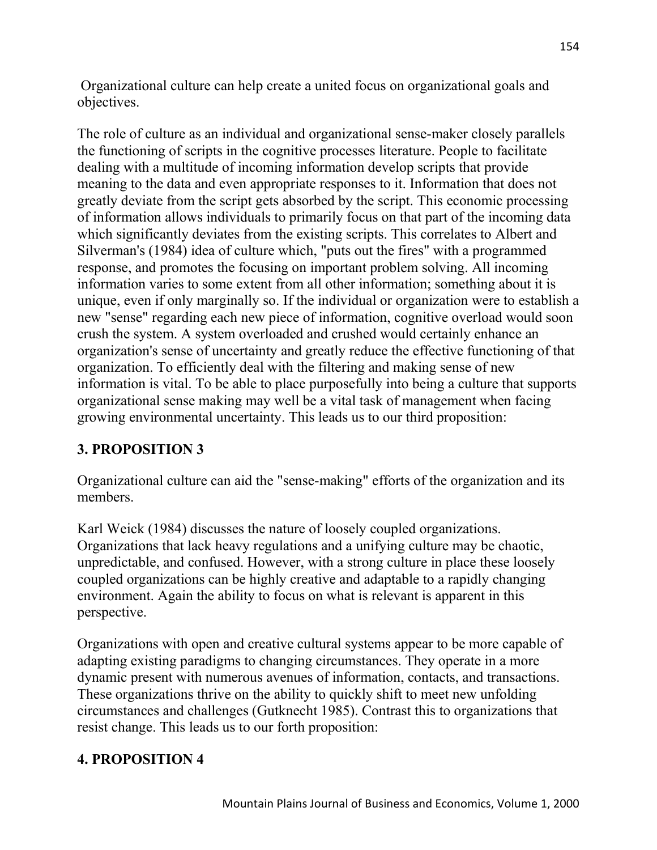Organizational culture can help create a united focus on organizational goals and objectives.

The role of culture as an individual and organizational sense-maker closely parallels the functioning of scripts in the cognitive processes literature. People to facilitate dealing with a multitude of incoming information develop scripts that provide meaning to the data and even appropriate responses to it. Information that does not greatly deviate from the script gets absorbed by the script. This economic processing of information allows individuals to primarily focus on that part of the incoming data which significantly deviates from the existing scripts. This correlates to Albert and Silverman's (1984) idea of culture which, "puts out the fires" with a programmed response, and promotes the focusing on important problem solving. All incoming information varies to some extent from all other information; something about it is unique, even if only marginally so. If the individual or organization were to establish a new "sense" regarding each new piece of information, cognitive overload would soon crush the system. A system overloaded and crushed would certainly enhance an organization's sense of uncertainty and greatly reduce the effective functioning of that organization. To efficiently deal with the filtering and making sense of new information is vital. To be able to place purposefully into being a culture that supports organizational sense making may well be a vital task of management when facing growing environmental uncertainty. This leads us to our third proposition:

### **3. PROPOSITION 3**

Organizational culture can aid the "sense-making" efforts of the organization and its members.

Karl Weick (1984) discusses the nature of loosely coupled organizations. Organizations that lack heavy regulations and a unifying culture may be chaotic, unpredictable, and confused. However, with a strong culture in place these loosely coupled organizations can be highly creative and adaptable to a rapidly changing environment. Again the ability to focus on what is relevant is apparent in this perspective.

Organizations with open and creative cultural systems appear to be more capable of adapting existing paradigms to changing circumstances. They operate in a more dynamic present with numerous avenues of information, contacts, and transactions. These organizations thrive on the ability to quickly shift to meet new unfolding circumstances and challenges (Gutknecht 1985). Contrast this to organizations that resist change. This leads us to our forth proposition:

### **4. PROPOSITION 4**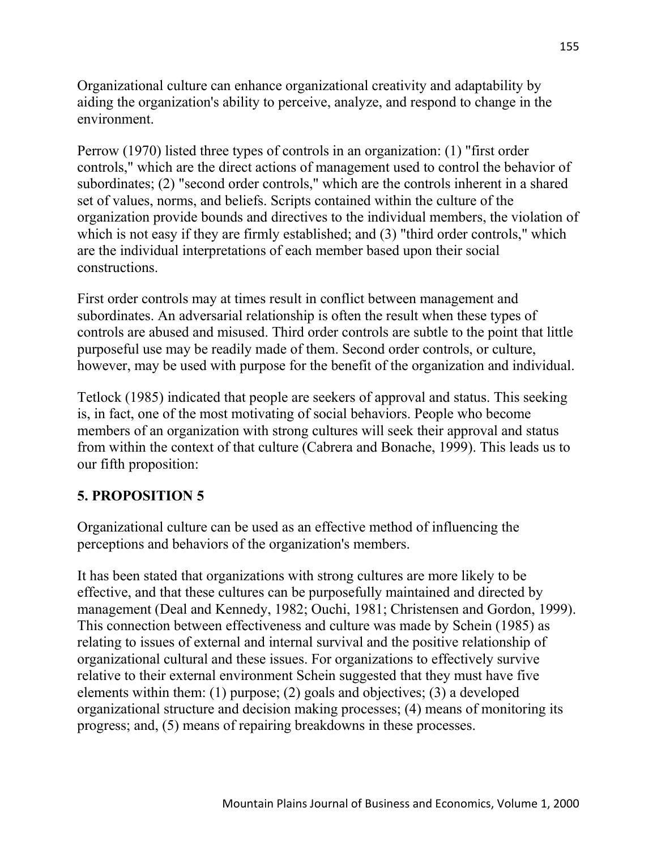Organizational culture can enhance organizational creativity and adaptability by aiding the organization's ability to perceive, analyze, and respond to change in the environment.

Perrow (1970) listed three types of controls in an organization: (1) "first order controls," which are the direct actions of management used to control the behavior of subordinates; (2) "second order controls," which are the controls inherent in a shared set of values, norms, and beliefs. Scripts contained within the culture of the organization provide bounds and directives to the individual members, the violation of which is not easy if they are firmly established; and (3) "third order controls," which are the individual interpretations of each member based upon their social constructions.

First order controls may at times result in conflict between management and subordinates. An adversarial relationship is often the result when these types of controls are abused and misused. Third order controls are subtle to the point that little purposeful use may be readily made of them. Second order controls, or culture, however, may be used with purpose for the benefit of the organization and individual.

Tetlock (1985) indicated that people are seekers of approval and status. This seeking is, in fact, one of the most motivating of social behaviors. People who become members of an organization with strong cultures will seek their approval and status from within the context of that culture (Cabrera and Bonache, 1999). This leads us to our fifth proposition:

## **5. PROPOSITION 5**

Organizational culture can be used as an effective method of influencing the perceptions and behaviors of the organization's members.

It has been stated that organizations with strong cultures are more likely to be effective, and that these cultures can be purposefully maintained and directed by management (Deal and Kennedy, 1982; Ouchi, 1981; Christensen and Gordon, 1999). This connection between effectiveness and culture was made by Schein (1985) as relating to issues of external and internal survival and the positive relationship of organizational cultural and these issues. For organizations to effectively survive relative to their external environment Schein suggested that they must have five elements within them: (1) purpose; (2) goals and objectives; (3) a developed organizational structure and decision making processes; (4) means of monitoring its progress; and, (5) means of repairing breakdowns in these processes.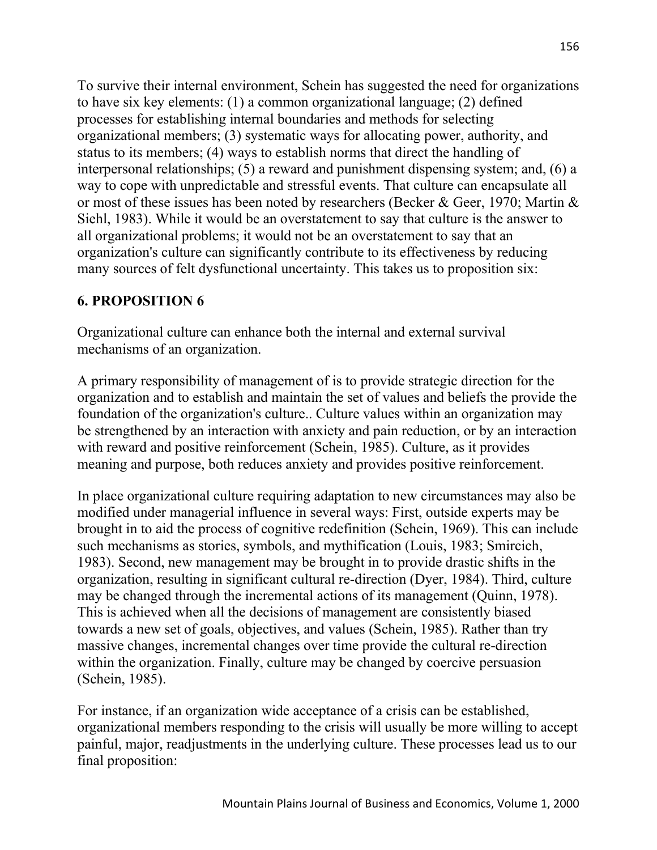To survive their internal environment, Schein has suggested the need for organizations to have six key elements: (1) a common organizational language; (2) defined processes for establishing internal boundaries and methods for selecting organizational members; (3) systematic ways for allocating power, authority, and status to its members; (4) ways to establish norms that direct the handling of interpersonal relationships; (5) a reward and punishment dispensing system; and, (6) a way to cope with unpredictable and stressful events. That culture can encapsulate all or most of these issues has been noted by researchers (Becker & Geer, 1970; Martin & Siehl, 1983). While it would be an overstatement to say that culture is the answer to all organizational problems; it would not be an overstatement to say that an organization's culture can significantly contribute to its effectiveness by reducing many sources of felt dysfunctional uncertainty. This takes us to proposition six:

### **6. PROPOSITION 6**

Organizational culture can enhance both the internal and external survival mechanisms of an organization.

A primary responsibility of management of is to provide strategic direction for the organization and to establish and maintain the set of values and beliefs the provide the foundation of the organization's culture.. Culture values within an organization may be strengthened by an interaction with anxiety and pain reduction, or by an interaction with reward and positive reinforcement (Schein, 1985). Culture, as it provides meaning and purpose, both reduces anxiety and provides positive reinforcement.

In place organizational culture requiring adaptation to new circumstances may also be modified under managerial influence in several ways: First, outside experts may be brought in to aid the process of cognitive redefinition (Schein, 1969). This can include such mechanisms as stories, symbols, and mythification (Louis, 1983; Smircich, 1983). Second, new management may be brought in to provide drastic shifts in the organization, resulting in significant cultural re-direction (Dyer, 1984). Third, culture may be changed through the incremental actions of its management (Quinn, 1978). This is achieved when all the decisions of management are consistently biased towards a new set of goals, objectives, and values (Schein, 1985). Rather than try massive changes, incremental changes over time provide the cultural re-direction within the organization. Finally, culture may be changed by coercive persuasion (Schein, 1985).

For instance, if an organization wide acceptance of a crisis can be established, organizational members responding to the crisis will usually be more willing to accept painful, major, readjustments in the underlying culture. These processes lead us to our final proposition: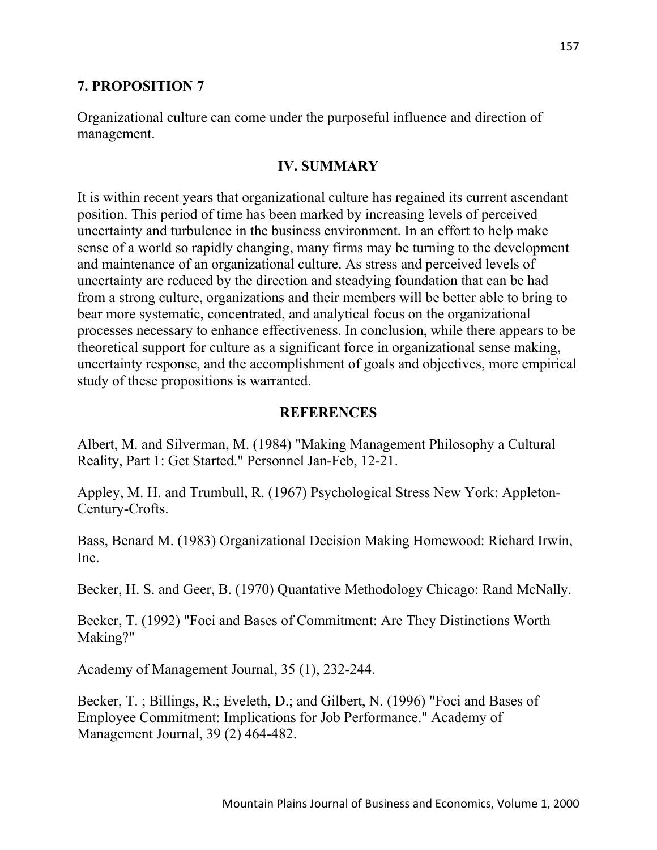#### **7. PROPOSITION 7**

Organizational culture can come under the purposeful influence and direction of management.

#### **IV. SUMMARY**

It is within recent years that organizational culture has regained its current ascendant position. This period of time has been marked by increasing levels of perceived uncertainty and turbulence in the business environment. In an effort to help make sense of a world so rapidly changing, many firms may be turning to the development and maintenance of an organizational culture. As stress and perceived levels of uncertainty are reduced by the direction and steadying foundation that can be had from a strong culture, organizations and their members will be better able to bring to bear more systematic, concentrated, and analytical focus on the organizational processes necessary to enhance effectiveness. In conclusion, while there appears to be theoretical support for culture as a significant force in organizational sense making, uncertainty response, and the accomplishment of goals and objectives, more empirical study of these propositions is warranted.

#### **REFERENCES**

Albert, M. and Silverman, M. (1984) "Making Management Philosophy a Cultural Reality, Part 1: Get Started." Personnel Jan-Feb, 12-21.

Appley, M. H. and Trumbull, R. (1967) Psychological Stress New York: Appleton-Century-Crofts.

Bass, Benard M. (1983) Organizational Decision Making Homewood: Richard Irwin, Inc.

Becker, H. S. and Geer, B. (1970) Quantative Methodology Chicago: Rand McNally.

Becker, T. (1992) "Foci and Bases of Commitment: Are They Distinctions Worth Making?"

Academy of Management Journal, 35 (1), 232-244.

Becker, T. ; Billings, R.; Eveleth, D.; and Gilbert, N. (1996) "Foci and Bases of Employee Commitment: Implications for Job Performance." Academy of Management Journal, 39 (2) 464-482.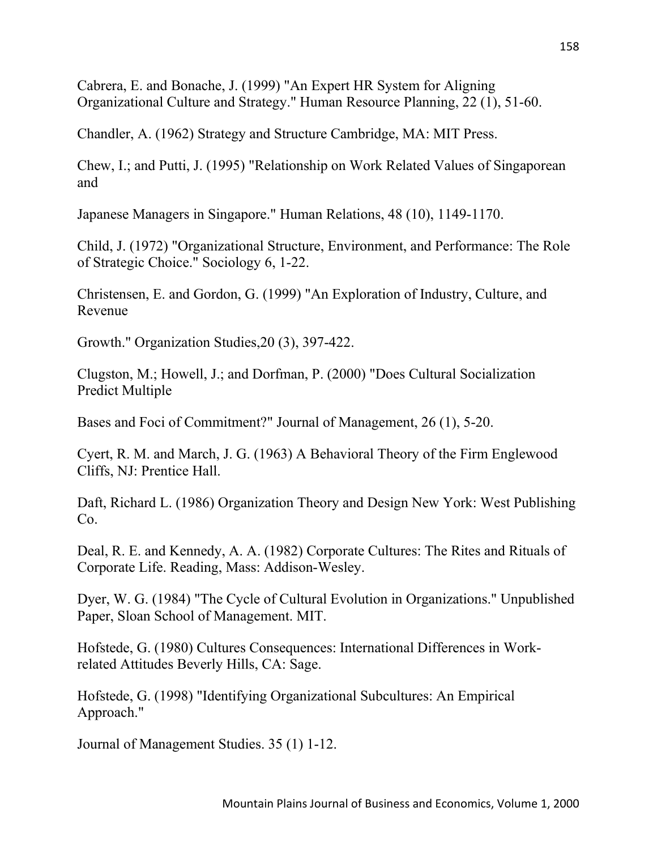Cabrera, E. and Bonache, J. (1999) "An Expert HR System for Aligning Organizational Culture and Strategy." Human Resource Planning, 22 (1), 51-60.

Chandler, A. (1962) Strategy and Structure Cambridge, MA: MIT Press.

Chew, I.; and Putti, J. (1995) "Relationship on Work Related Values of Singaporean and

Japanese Managers in Singapore." Human Relations, 48 (10), 1149-1170.

Child, J. (1972) "Organizational Structure, Environment, and Performance: The Role of Strategic Choice." Sociology 6, 1-22.

Christensen, E. and Gordon, G. (1999) "An Exploration of Industry, Culture, and Revenue

Growth." Organization Studies,20 (3), 397-422.

Clugston, M.; Howell, J.; and Dorfman, P. (2000) "Does Cultural Socialization Predict Multiple

Bases and Foci of Commitment?" Journal of Management, 26 (1), 5-20.

Cyert, R. M. and March, J. G. (1963) A Behavioral Theory of the Firm Englewood Cliffs, NJ: Prentice Hall.

Daft, Richard L. (1986) Organization Theory and Design New York: West Publishing Co.

Deal, R. E. and Kennedy, A. A. (1982) Corporate Cultures: The Rites and Rituals of Corporate Life. Reading, Mass: Addison-Wesley.

Dyer, W. G. (1984) "The Cycle of Cultural Evolution in Organizations." Unpublished Paper, Sloan School of Management. MIT.

Hofstede, G. (1980) Cultures Consequences: International Differences in Workrelated Attitudes Beverly Hills, CA: Sage.

Hofstede, G. (1998) "Identifying Organizational Subcultures: An Empirical Approach."

Journal of Management Studies. 35 (1) 1-12.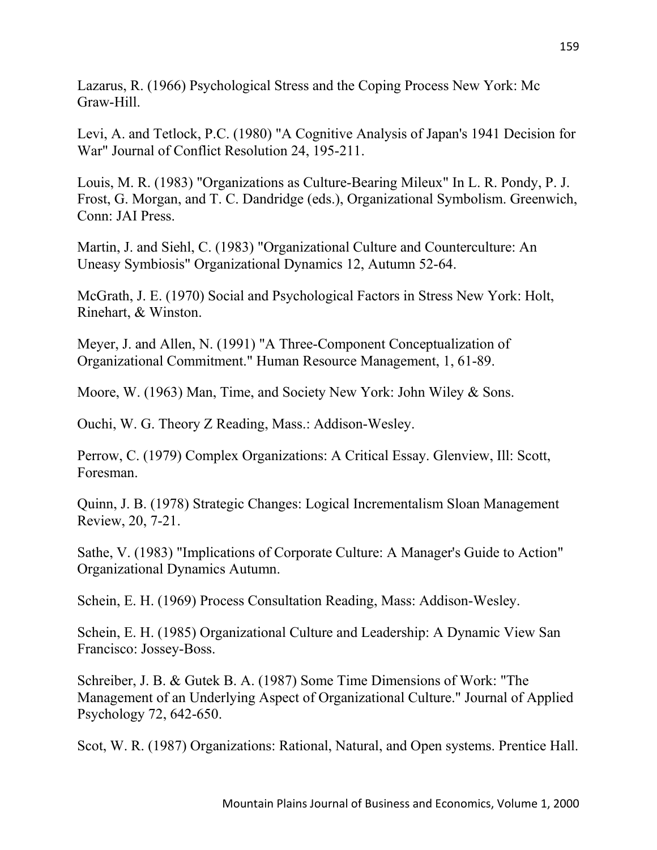Lazarus, R. (1966) Psychological Stress and the Coping Process New York: Mc Graw-Hill.

Levi, A. and Tetlock, P.C. (1980) "A Cognitive Analysis of Japan's 1941 Decision for War" Journal of Conflict Resolution 24, 195-211.

Louis, M. R. (1983) "Organizations as Culture-Bearing Mileux" In L. R. Pondy, P. J. Frost, G. Morgan, and T. C. Dandridge (eds.), Organizational Symbolism. Greenwich, Conn: JAI Press.

Martin, J. and Siehl, C. (1983) "Organizational Culture and Counterculture: An Uneasy Symbiosis" Organizational Dynamics 12, Autumn 52-64.

McGrath, J. E. (1970) Social and Psychological Factors in Stress New York: Holt, Rinehart, & Winston.

Meyer, J. and Allen, N. (1991) "A Three-Component Conceptualization of Organizational Commitment." Human Resource Management, 1, 61-89.

Moore, W. (1963) Man, Time, and Society New York: John Wiley & Sons.

Ouchi, W. G. Theory Z Reading, Mass.: Addison-Wesley.

Perrow, C. (1979) Complex Organizations: A Critical Essay. Glenview, Ill: Scott, Foresman.

Quinn, J. B. (1978) Strategic Changes: Logical Incrementalism Sloan Management Review, 20, 7-21.

Sathe, V. (1983) "Implications of Corporate Culture: A Manager's Guide to Action" Organizational Dynamics Autumn.

Schein, E. H. (1969) Process Consultation Reading, Mass: Addison-Wesley.

Schein, E. H. (1985) Organizational Culture and Leadership: A Dynamic View San Francisco: Jossey-Boss.

Schreiber, J. B. & Gutek B. A. (1987) Some Time Dimensions of Work: "The Management of an Underlying Aspect of Organizational Culture." Journal of Applied Psychology 72, 642-650.

Scot, W. R. (1987) Organizations: Rational, Natural, and Open systems. Prentice Hall.